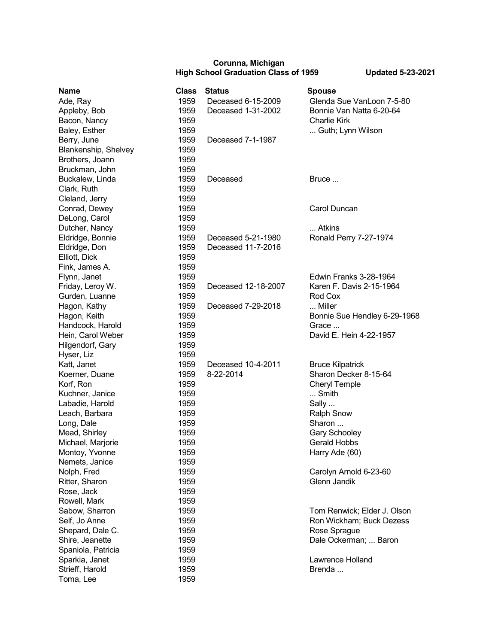## **Corunna, Michigan High School Graduation Class of 1959 Updated 5-23-2021**

| <b>Name</b>          | <b>Class</b> | <b>Status</b>       | <b>Spouse</b>                |
|----------------------|--------------|---------------------|------------------------------|
| Ade, Ray             | 1959         | Deceased 6-15-2009  | Glenda Sue VanLoon 7-5-80    |
| Appleby, Bob         | 1959         | Deceased 1-31-2002  | Bonnie Van Natta 6-20-64     |
| Bacon, Nancy         | 1959         |                     | <b>Charlie Kirk</b>          |
| Baley, Esther        | 1959         |                     | Guth; Lynn Wilson            |
| Berry, June          | 1959         | Deceased 7-1-1987   |                              |
| Blankenship, Shelvey | 1959         |                     |                              |
| Brothers, Joann      | 1959         |                     |                              |
| Bruckman, John       | 1959         |                     |                              |
| Buckalew, Linda      | 1959         | Deceased            | Bruce                        |
| Clark, Ruth          | 1959         |                     |                              |
| Cleland, Jerry       | 1959         |                     |                              |
| Conrad, Dewey        | 1959         |                     | Carol Duncan                 |
| DeLong, Carol        | 1959         |                     |                              |
| Dutcher, Nancy       | 1959         |                     | Atkins                       |
| Eldridge, Bonnie     | 1959         | Deceased 5-21-1980  | Ronald Perry 7-27-1974       |
| Eldridge, Don        | 1959         | Deceased 11-7-2016  |                              |
| Elliott, Dick        | 1959         |                     |                              |
| Fink, James A.       | 1959         |                     |                              |
| Flynn, Janet         | 1959         |                     | Edwin Franks 3-28-1964       |
| Friday, Leroy W.     | 1959         | Deceased 12-18-2007 | Karen F. Davis 2-15-1964     |
| Gurden, Luanne       | 1959         |                     | Rod Cox                      |
| Hagon, Kathy         | 1959         | Deceased 7-29-2018  | Miller                       |
| Hagon, Keith         | 1959         |                     | Bonnie Sue Hendley 6-29-1968 |
| Handcock, Harold     | 1959         |                     | Grace                        |
| Hein, Carol Weber    | 1959         |                     | David E. Hein 4-22-1957      |
| Hilgendorf, Gary     | 1959         |                     |                              |
| Hyser, Liz           | 1959         |                     |                              |
| Katt, Janet          | 1959         | Deceased 10-4-2011  | <b>Bruce Kilpatrick</b>      |
| Koerner, Duane       | 1959         | 8-22-2014           | Sharon Decker 8-15-64        |
| Korf, Ron            | 1959         |                     | <b>Cheryl Temple</b>         |
| Kuchner, Janice      | 1959         |                     | Smith                        |
| Labadie, Harold      | 1959         |                     | Sally                        |
| Leach, Barbara       | 1959         |                     | <b>Ralph Snow</b>            |
| Long, Dale           | 1959         |                     | Sharon                       |
| Mead, Shirley        | 1959         |                     | Gary Schooley                |
| Michael, Marjorie    | 1959         |                     | <b>Gerald Hobbs</b>          |
| Montoy, Yvonne       | 1959         |                     | Harry Ade (60)               |
| Nemets, Janice       | 1959         |                     |                              |
| Nolph, Fred          | 1959         |                     | Carolyn Arnold 6-23-60       |
| Ritter, Sharon       | 1959         |                     | Glenn Jandik                 |
| Rose, Jack           | 1959         |                     |                              |
| Rowell, Mark         | 1959         |                     |                              |
| Sabow, Sharron       | 1959         |                     | Tom Renwick; Elder J. Olson  |
|                      | 1959         |                     | Ron Wickham; Buck Dezess     |
| Self, Jo Anne        |              |                     |                              |
| Shepard, Dale C.     | 1959         |                     | Rose Sprague                 |
| Shire, Jeanette      | 1959         |                     | Dale Ockerman;  Baron        |
| Spaniola, Patricia   | 1959         |                     |                              |
| Sparkia, Janet       | 1959         |                     | Lawrence Holland             |
| Strieff, Harold      | 1959         |                     | Brenda                       |
| Toma, Lee            | 1959         |                     |                              |